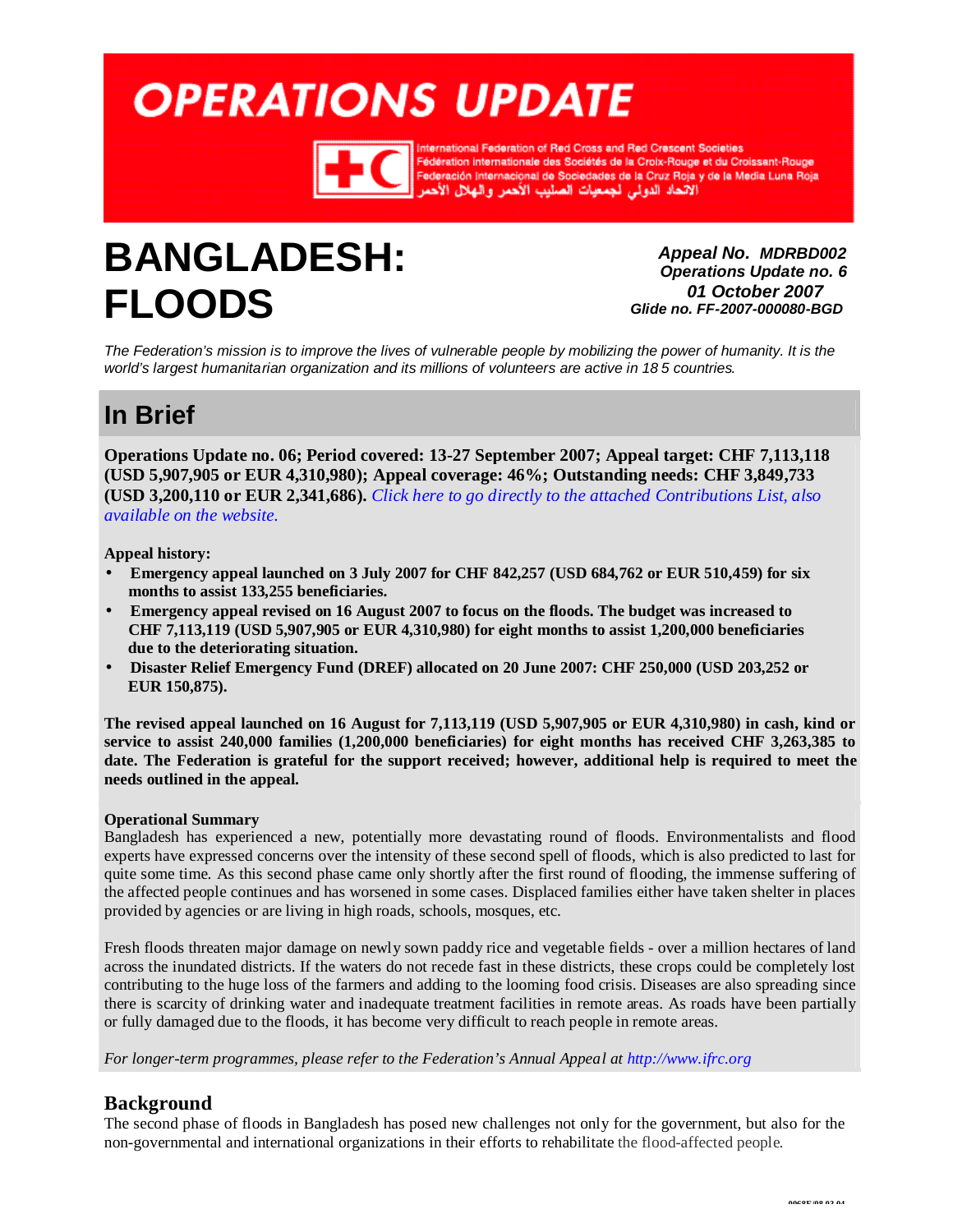# <span id="page-0-0"></span>**OPERATIONS UPDATE**



hal Federation of Red Cross and Red Crescent Societies imernational Pederation of Ned Cross and Ned Crescent Societies<br>| Fédération internationale des Sociétés de la Croix-Rouge et du Croissant-Rouge<br>| Federación Internacional de Sociedades de la Cruz Roja y de la Media Luna

## **BANGLADESH: FLOODS**

*Appeal No. MDRBD002 Operations Update no. 6 01 October 2007 Glide no. FF-2007-000080-BGD*

*The Federation's mission is to improve the lives of vulnerable people by mobilizing the power of humanity. It is the world's largest humanitarian organization and its millions of volunteers are active in 18 5 countries.* 

## **In Brief**

**Operations Update no. 06; Period covered: 13-27 September 2007; Appeal target: CHF 7,113,118 (USD 5,907,905 or EUR 4,310,980); Appeal coverage: 46%; Outstanding needs: CHF 3,849,733 (USD 3,200,110 or EUR 2,341,686).** *Click here to go directly to the attached [Contributions List,](#page-6-0) also [available on](http://www.ifrc.org/docs/appeals/Active/MDRBD002.pdf) the website.*

**Appeal history:**

- **Emergency appeal launched on 3 July 2007 for CHF 842,257 (USD 684,762 or EUR 510,459) for six months to assist 133,255 beneficiaries.**
- **Emergency appeal revised on 16 August 2007 to focus on the floods. The budget was increased to CHF 7,113,119 (USD 5,907,905 or EUR 4,310,980) for eight months to assist 1,200,000 beneficiaries due to the deteriorating situation.**
- **Disaster Relief Emergency Fund (DREF) allocated on 20 June 2007: CHF 250,000 (USD 203,252 or EUR 150,875).**

The revised appeal launched on 16 August for 7,113,119 (USD 5,907,905 or EUR 4,310,980) in cash, kind or **service to assist 240,000 families (1,200,000 beneficiaries) for eight months has received CHF 3,263,385 to**  date. The Federation is grateful for the support received; however, additional help is required to meet the **needs outlined in the appeal.**

#### **Operational Summary**

Bangladesh has experienced a new, potentially more devastating round of floods. Environmentalists and flood experts have expressed concerns over the intensity of these second spell of floods, which is also predicted to last for quite some time. As this second phase came only shortly after the first round of flooding, the immense suffering of the affected people continues and has worsened in some cases. Displaced families either have taken shelter in places provided by agencies or are living in high roads, schools, mosques, etc.

Fresh floods threaten major damage on newly sown paddy rice and vegetable fields - over a million hectares of land across the inundated districts. If the waters do not recede fast in these districts, these crops could be completely lost contributing to the huge loss of the farmers and adding to the looming food crisis. Diseases are also spreading since there is scarcity of drinking water and inadequate treatment facilities in remote areas. As roads have been partially or fully damaged due to the floods, it has become very difficult to reach people in remote areas.

*For longer-term programmes, please refer to the Federation's Annual Appeal a[t http://www.ifrc.org](http://www.ifrc.org/)*

### **Background**

The second phase of floods in Bangladesh has posed new challenges not only for the government, but also for the non-governmental and international organizations in their efforts to rehabilitate the flood-affected people.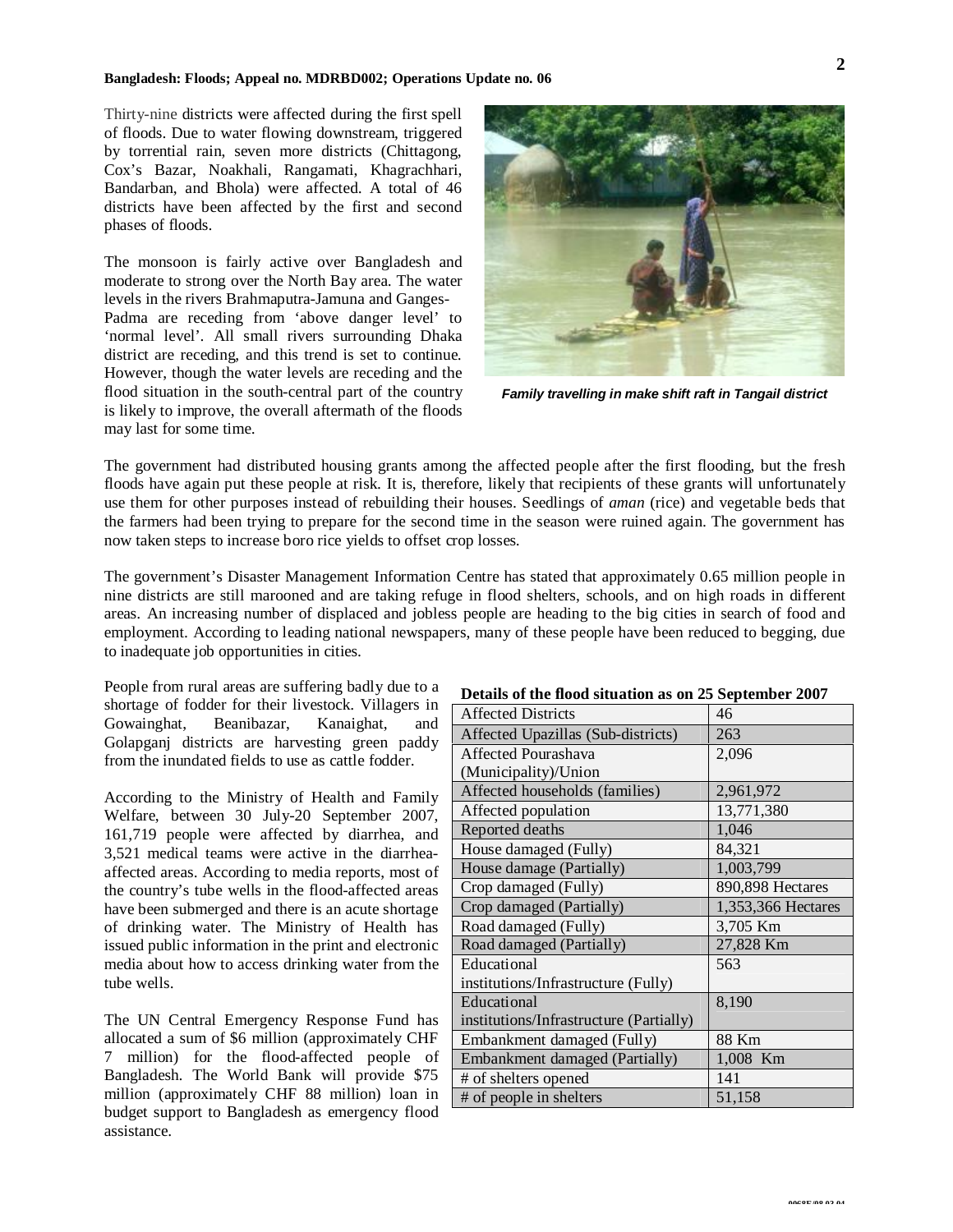Thirty-nine districts were affected during the first spell of floods. Due to water flowing downstream, triggered by torrential rain, seven more districts (Chittagong, Cox's Bazar, Noakhali, Rangamati, Khagrachhari, Bandarban, and Bhola) were affected. A total of 46 districts have been affected by the first and second phases of floods.

The monsoon is fairly active over Bangladesh and moderate to strong over the North Bay area. The water levels in the rivers Brahmaputra-Jamuna and Ganges-Padma are receding from 'above danger level' to 'normal level'. All small rivers surrounding Dhaka district are receding, and this trend is set to continue. However, though the water levels are receding and the flood situation in the south-central part of the country is likely to improve, the overall aftermath of the floods may last for some time.



*Family travelling in make shift raft in Tangail district*

The government had distributed housing grants among the affected people after the first flooding, but the fresh floods have again put these people at risk. It is, therefore, likely that recipients of these grants will unfortunately use them for other purposes instead of rebuilding their houses. Seedlings of *aman* (rice) and vegetable beds that the farmers had been trying to prepare for the second time in the season were ruined again. The government has now taken steps to increase boro rice yields to offset crop losses.

The government's Disaster Management Information Centre has stated that approximately 0.65 million people in nine districts are still marooned and are taking refuge in flood shelters, schools, and on high roads in different areas. An increasing number of displaced and jobless people are heading to the big cities in search of food and employment. According to leading national newspapers, many of these people have been reduced to begging, due to inadequate job opportunities in cities.

People from rural areas are suffering badly due to a shortage of fodder for their livestock. Villagers in Gowainghat, Beanibazar, Kanaighat, and Golapganj districts are harvesting green paddy from the inundated fields to use as cattle fodder.

According to the Ministry of Health and Family Welfare, between 30 July-20 September 2007, 161,719 people were affected by diarrhea, and 3,521 medical teams were active in the diarrheaaffected areas. According to media reports, most of the country's tube wells in the flood-affected areas have been submerged and there is an acute shortage of drinking water. The Ministry of Health has issued public information in the print and electronic media about how to access drinking water from the tube wells.

The UN Central Emergency Response Fund has allocated a sum of \$6 million (approximately CHF 7 million) for the flood-affected people of Bangladesh. The World Bank will provide \$75 million (approximately CHF 88 million) loan in budget support to Bangladesh as emergency flood assistance.

#### **Details of the flood situation as on 25 September 2007**

| <b>Affected Districts</b>               | 46                 |
|-----------------------------------------|--------------------|
| Affected Upazillas (Sub-districts)      | 263                |
| Affected Pourashava                     | 2,096              |
| (Municipality)/Union                    |                    |
| Affected households (families)          | 2,961,972          |
| Affected population                     | 13,771,380         |
| Reported deaths                         | 1,046              |
| House damaged (Fully)                   | 84,321             |
| House damage (Partially)                | 1,003,799          |
| Crop damaged (Fully)                    | 890,898 Hectares   |
| Crop damaged (Partially)                | 1,353,366 Hectares |
| Road damaged (Fully)                    | 3,705 Km           |
| Road damaged (Partially)                | 27,828 Km          |
| Educational                             | 563                |
| institutions/Infrastructure (Fully)     |                    |
| Educational                             | 8,190              |
| institutions/Infrastructure (Partially) |                    |
| Embankment damaged (Fully)              | 88 Km              |
| Embankment damaged (Partially)          | 1,008 Km           |
| # of shelters opened                    | 141                |
| # of people in shelters                 | 51,158             |
|                                         |                    |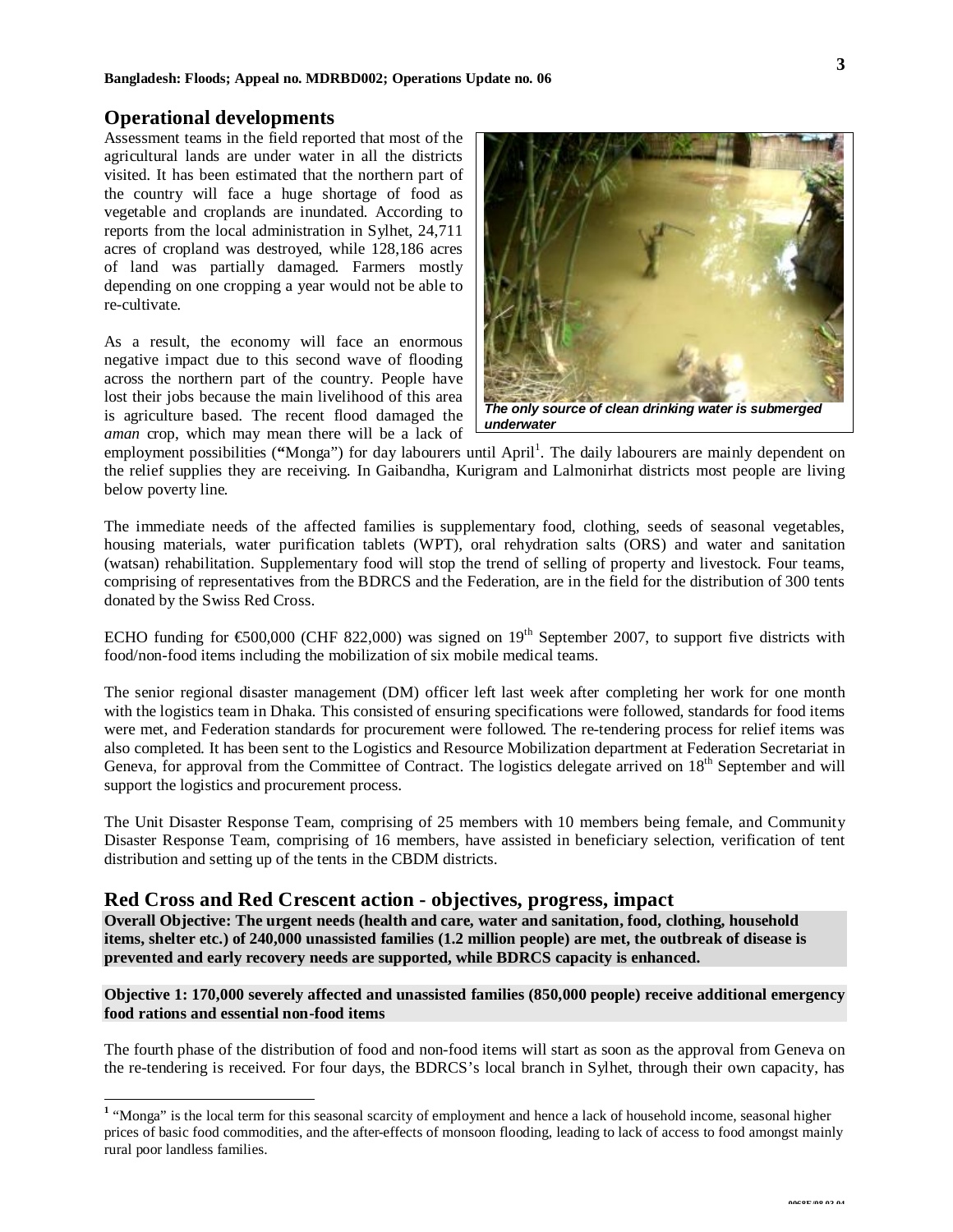#### **Operational developments**

Assessment teams in the field reported that most of the agricultural lands are under water in all the districts visited. It has been estimated that the northern part of the country will face a huge shortage of food as vegetable and croplands are inundated. According to reports from the local administration in Sylhet, 24,711 acres of cropland was destroyed, while 128,186 acres of land was partially damaged. Farmers mostly depending on one cropping a year would not be able to re-cultivate.

As a result, the economy will face an enormous negative impact due to this second wave of flooding across the northern part of the country. People have lost their jobs because the main livelihood of this area is agriculture based. The recent flood damaged the *aman* crop, which may mean there will be a lack of



employment possibilities ("Monga") for day labourers until April<sup>1</sup>. The daily labourers are mainly dependent on the relief supplies they are receiving. In Gaibandha, Kurigram and Lalmonirhat districts most people are living below poverty line.

The immediate needs of the affected families is supplementary food, clothing, seeds of seasonal vegetables, housing materials, water purification tablets (WPT), oral rehydration salts (ORS) and water and sanitation (watsan) rehabilitation. Supplementary food will stop the trend of selling of property and livestock. Four teams, comprising of representatives from the BDRCS and the Federation, are in the field for the distribution of 300 tents donated by the Swiss Red Cross.

ECHO funding for  $\text{\textsterling}500,000$  (CHF 822,000) was signed on 19<sup>th</sup> September 2007, to support five districts with food/non-food items including the mobilization of six mobile medical teams.

The senior regional disaster management (DM) officer left last week after completing her work for one month with the logistics team in Dhaka. This consisted of ensuring specifications were followed, standards for food items were met, and Federation standards for procurement were followed. The re-tendering process for relief items was also completed. It has been sent to the Logistics and Resource Mobilization department at Federation Secretariat in Geneva, for approval from the Committee of Contract. The logistics delegate arrived on 18<sup>th</sup> September and will support the logistics and procurement process.

The Unit Disaster Response Team, comprising of 25 members with 10 members being female, and Community Disaster Response Team, comprising of 16 members, have assisted in beneficiary selection, verification of tent distribution and setting up of the tents in the CBDM districts.

#### **Red Cross and Red Crescent action - objectives, progress, impact**

**Overall Objective: The urgent needs (health and care, water and sanitation, food, clothing, household items, shelter etc.) of 240,000 unassisted families (1.2 million people) are met, the outbreak of disease is prevented and early recovery needs are supported, while BDRCS capacity is enhanced.**

#### **Objective 1: 170,000 severely affected and unassisted families (850,000 people) receive additional emergency food rations and essential non-food items**

The fourth phase of the distribution of food and non-food items will start as soon as the approval from Geneva on the re-tendering is received. For four days, the BDRCS's local branch in Sylhet, through their own capacity, has

<sup>&</sup>lt;sup>1</sup> "Monga" is the local term for this seasonal scarcity of employment and hence a lack of household income, seasonal higher prices of basic food commodities, and the after-effects of monsoon flooding, leading to lack of access to food amongst mainly rural poor landless families.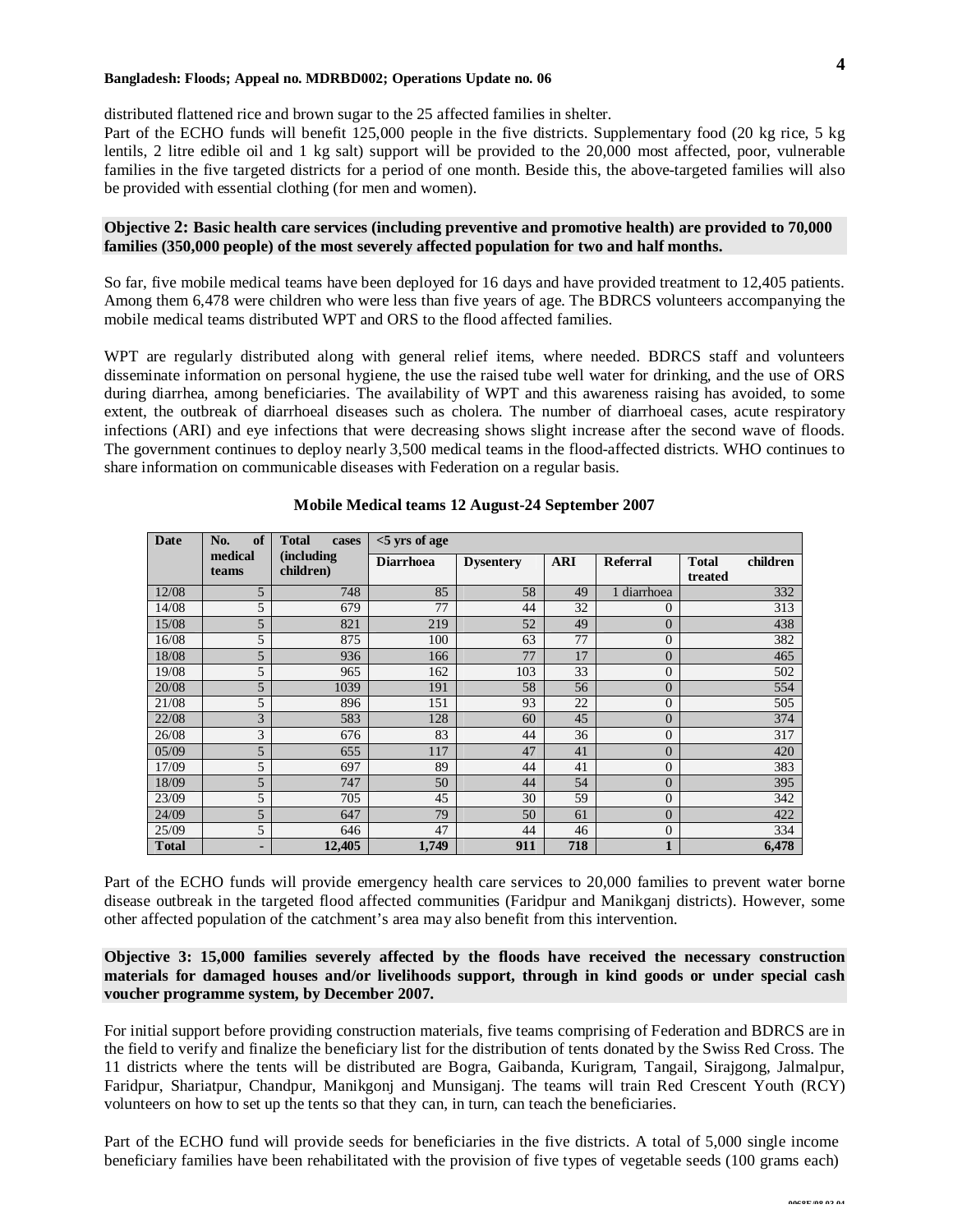#### **Bangladesh: Floods; Appeal no. MDRBD002; Operations Update no. 06**

distributed flattened rice and brown sugar to the 25 affected families in shelter.

Part of the ECHO funds will benefit 125,000 people in the five districts. Supplementary food (20 kg rice, 5 kg lentils, 2 litre edible oil and 1 kg salt) support will be provided to the 20,000 most affected, poor, vulnerable families in the five targeted districts for a period of one month. Beside this, the above-targeted families will also be provided with essential clothing (for men and women).

#### **Objective 2: Basic health care services (including preventive and promotive health) are provided to 70,000 families (350,000 people) of the most severely affected population for two and half months.**

So far, five mobile medical teams have been deployed for 16 days and have provided treatment to 12,405 patients. Among them 6,478 were children who were less than five years of age. The BDRCS volunteers accompanying the mobile medical teams distributed WPT and ORS to the flood affected families.

WPT are regularly distributed along with general relief items, where needed. BDRCS staff and volunteers disseminate information on personal hygiene, the use the raised tube well water for drinking, and the use of ORS during diarrhea, among beneficiaries. The availability of WPT and this awareness raising has avoided, to some extent, the outbreak of diarrhoeal diseases such as cholera. The number of diarrhoeal cases, acute respiratory infections (ARI) and eye infections that were decreasing shows slight increase after the second wave of floods. The government continues to deploy nearly 3,500 medical teams in the flood-affected districts. WHO continues to share information on communicable diseases with Federation on a regular basis.

| <b>Date</b>  | of<br>No.        | <b>Total</b><br>cases    | $<$ 5 yrs of age |                  |            |                 |                                     |  |
|--------------|------------------|--------------------------|------------------|------------------|------------|-----------------|-------------------------------------|--|
|              | medical<br>teams | (including)<br>children) | <b>Diarrhoea</b> | <b>Dysentery</b> | <b>ARI</b> | <b>Referral</b> | <b>Total</b><br>children<br>treated |  |
| 12/08        | 5                | 748                      | 85               | 58               | 49         | 1 diarrhoea     | 332                                 |  |
| 14/08        | 5                | 679                      | 77               | 44               | 32         | $\Omega$        | 313                                 |  |
| 15/08        | 5                | 821                      | 219              | 52               | 49         | $\Omega$        | 438                                 |  |
| 16/08        | 5                | 875                      | 100              | 63               | 77         | $\overline{0}$  | 382                                 |  |
| 18/08        | 5                | 936                      | 166              | 77               | 17         | $\Omega$        | 465                                 |  |
| 19/08        | 5                | 965                      | 162              | 103              | 33         | $\Omega$        | 502                                 |  |
| 20/08        | 5                | 1039                     | 191              | 58               | 56         | $\Omega$        | 554                                 |  |
| 21/08        | 5                | 896                      | 151              | 93               | 22         | $\Omega$        | 505                                 |  |
| 22/08        | 3                | 583                      | 128              | 60               | 45         | $\Omega$        | 374                                 |  |
| 26/08        | 3                | 676                      | 83               | 44               | 36         | $\overline{0}$  | 317                                 |  |
| 05/09        | 5                | 655                      | 117              | 47               | 41         | $\theta$        | 420                                 |  |
| 17/09        | 5                | 697                      | 89               | 44               | 41         | $\Omega$        | 383                                 |  |
| 18/09        | 5                | 747                      | 50               | 44               | 54         | $\Omega$        | 395                                 |  |
| 23/09        | 5                | 705                      | 45               | 30               | 59         | $\Omega$        | 342                                 |  |
| 24/09        | 5                | 647                      | 79               | 50               | 61         | $\theta$        | 422                                 |  |
| 25/09        | 5                | 646                      | 47               | 44               | 46         | $\theta$        | 334                                 |  |
| <b>Total</b> | ٠                | 12,405                   | 1,749            | 911              | 718        | 1               | 6,478                               |  |

#### **Mobile Medical teams 12 August-24 September 2007**

Part of the ECHO funds will provide emergency health care services to 20,000 families to prevent water borne disease outbreak in the targeted flood affected communities (Faridpur and Manikganj districts). However, some other affected population of the catchment's area may also benefit from this intervention.

#### **Objective 3: 15,000 families severely affected by the floods have received the necessary construction materials for damaged houses and/or livelihoods support, through in kind goods or under special cash voucher programme system, by December 2007.**

For initial support before providing construction materials, five teams comprising of Federation and BDRCS are in the field to verify and finalize the beneficiary list for the distribution of tents donated by the Swiss Red Cross. The 11 districts where the tents will be distributed are Bogra, Gaibanda, Kurigram, Tangail, Sirajgong, Jalmalpur, Faridpur, Shariatpur, Chandpur, Manikgonj and Munsiganj. The teams will train Red Crescent Youth (RCY) volunteers on how to set up the tents so that they can, in turn, can teach the beneficiaries.

Part of the ECHO fund will provide seeds for beneficiaries in the five districts. A total of 5,000 single income beneficiary families have been rehabilitated with the provision of five types of vegetable seeds (100 grams each)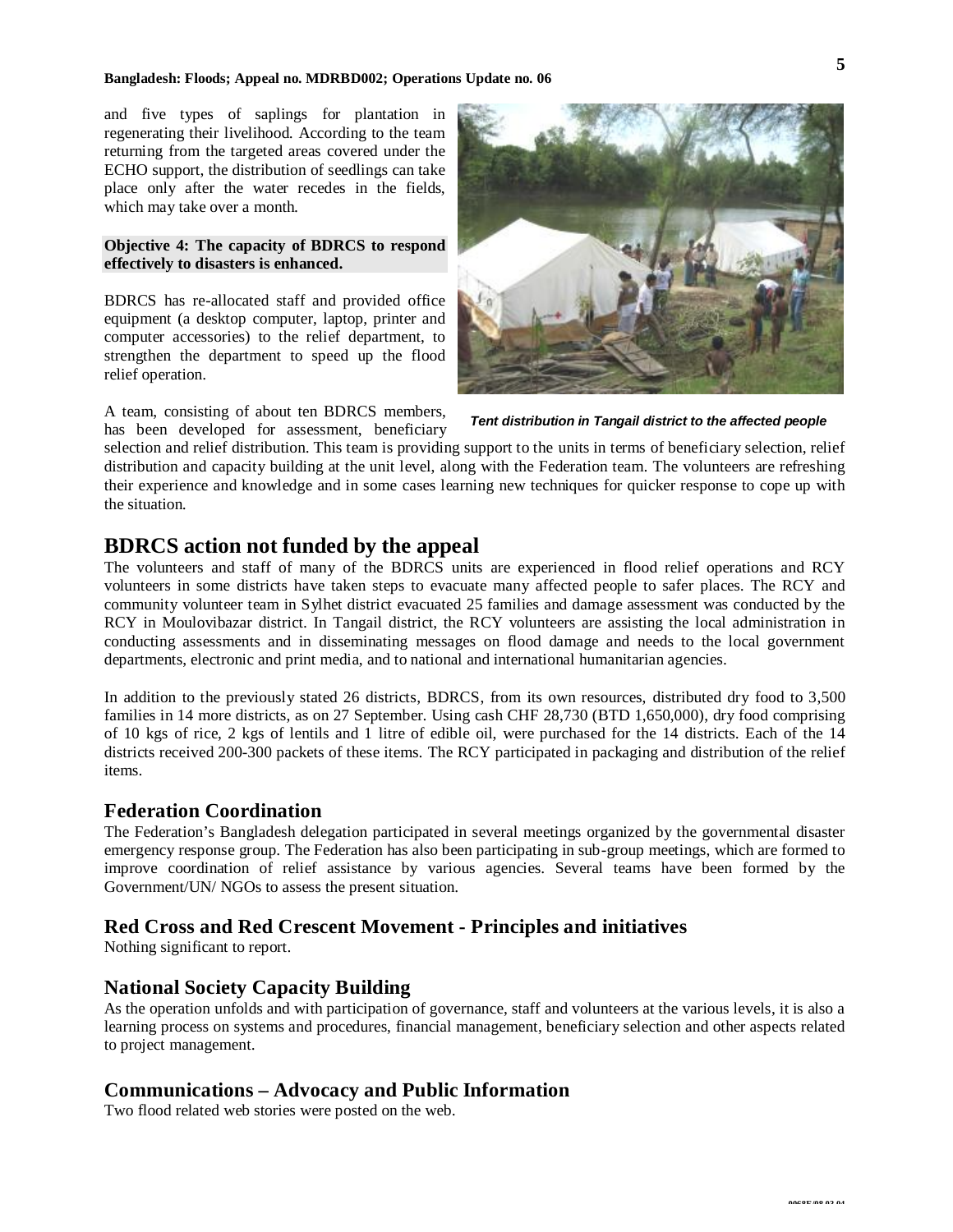#### **Bangladesh: Floods; Appeal no. MDRBD002; Operations Update no. 06**

and five types of saplings for plantation in regenerating their livelihood. According to the team returning from the targeted areas covered under the ECHO support, the distribution of seedlings can take place only after the water recedes in the fields, which may take over a month.

#### **Objective 4: The capacity of BDRCS to respond effectively to disasters is enhanced.**

BDRCS has re-allocated staff and provided office equipment (a desktop computer, laptop, printer and computer accessories) to the relief department, to strengthen the department to speed up the flood relief operation.

A team, consisting of about ten BDRCS members, has been developed for assessment, beneficiary



*Tent distribution in Tangail district to the affected people*

selection and relief distribution. This team is providing support to the units in terms of beneficiary selection, relief distribution and capacity building at the unit level, along with the Federation team. The volunteers are refreshing their experience and knowledge and in some cases learning new techniques for quicker response to cope up with the situation.

#### **BDRCS action not funded by the appeal**

The volunteers and staff of many of the BDRCS units are experienced in flood relief operations and RCY volunteers in some districts have taken steps to evacuate many affected people to safer places. The RCY and community volunteer team in Sylhet district evacuated 25 families and damage assessment was conducted by the RCY in Moulovibazar district. In Tangail district, the RCY volunteers are assisting the local administration in conducting assessments and in disseminating messages on flood damage and needs to the local government departments, electronic and print media, and to national and international humanitarian agencies.

In addition to the previously stated 26 districts, BDRCS, from its own resources, distributed dry food to 3,500 families in 14 more districts, as on 27 September. Using cash CHF 28,730 (BTD 1,650,000), dry food comprising of 10 kgs of rice, 2 kgs of lentils and 1 litre of edible oil, were purchased for the 14 districts. Each of the 14 districts received 200-300 packets of these items. The RCY participated in packaging and distribution of the relief items.

#### **Federation Coordination**

The Federation's Bangladesh delegation participated in several meetings organized by the governmental disaster emergency response group. The Federation has also been participating in sub-group meetings, which are formed to improve coordination of relief assistance by various agencies. Several teams have been formed by the Government/UN/ NGOs to assess the present situation.

#### **Red Cross and Red Crescent Movement - Principles and initiatives**

Nothing significant to report.

#### **National Society Capacity Building**

As the operation unfolds and with participation of governance, staff and volunteers at the various levels, it is also a learning process on systems and procedures, financial management, beneficiary selection and other aspects related to project management.

#### **Communications – Advocacy and Public Information**

Two flood related web stories were posted on the web.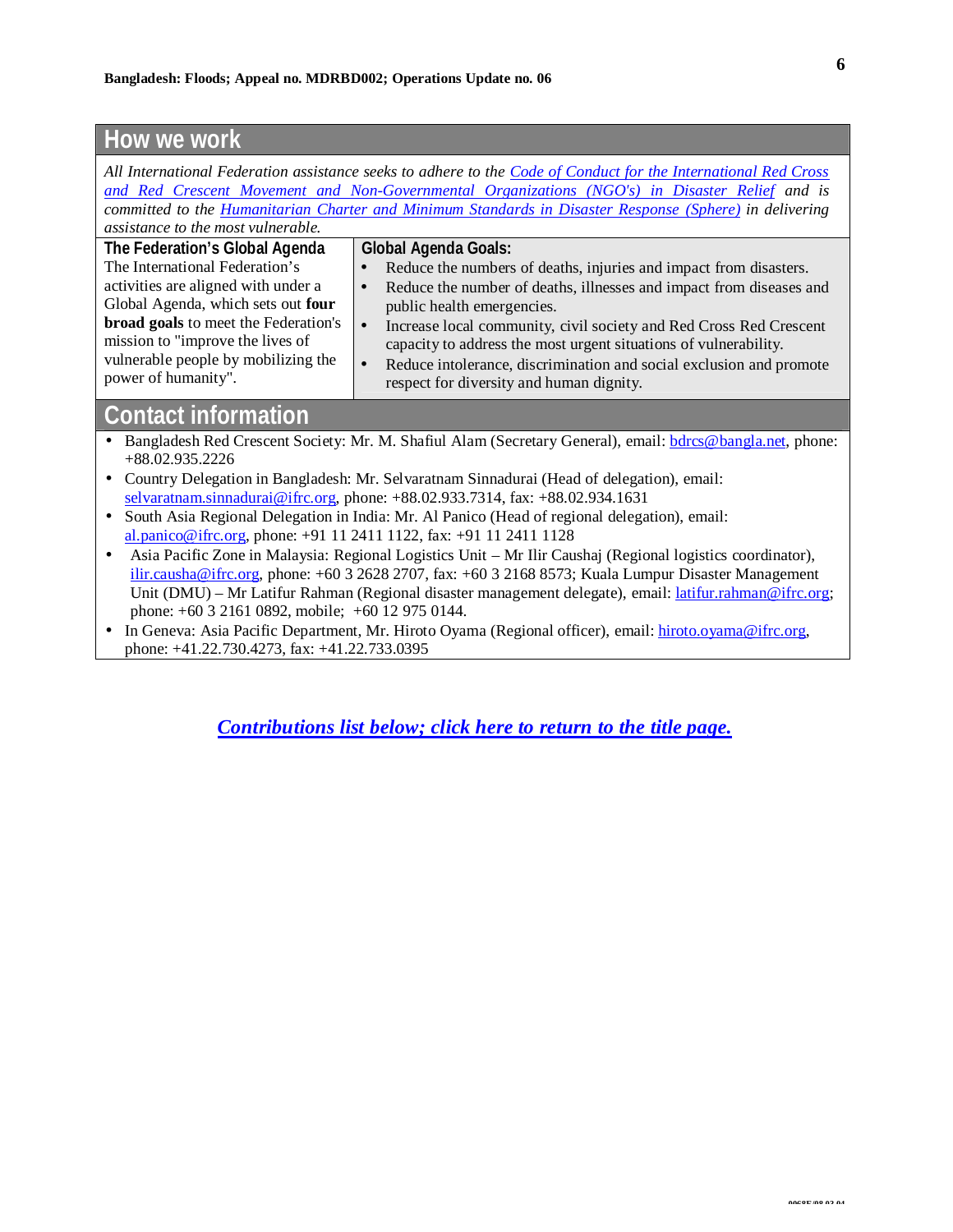## **How we work**

*All International Federation assistance seeks to adhere to the Code of Conduct for the International Red Cross and Red Crescent Movement and [Non-Governmental](http://www.ifrc.org/publicat/code.asp) Organizations (NGO's) in Disaster Relief and is committed to the [Humanitarian](http://www.sphereproject.org/) Charter and Minimum Standards in Disaster Response (Sphere) in delivering assistance to the most vulnerable.*

| The Federation's Global Agenda                                                                                                                             | <b>Global Agenda Goals:</b>                                                                                                                                                                                                                                            |
|------------------------------------------------------------------------------------------------------------------------------------------------------------|------------------------------------------------------------------------------------------------------------------------------------------------------------------------------------------------------------------------------------------------------------------------|
| The International Federation's                                                                                                                             | Reduce the numbers of deaths, injuries and impact from disasters.                                                                                                                                                                                                      |
| activities are aligned with under a                                                                                                                        | Reduce the number of deaths, illnesses and impact from diseases and<br>$\bullet$                                                                                                                                                                                       |
| Global Agenda, which sets out four                                                                                                                         | public health emergencies.                                                                                                                                                                                                                                             |
| <b>broad goals</b> to meet the Federation's<br>$\bullet$<br>mission to "improve the lives of<br>vulnerable people by mobilizing the<br>power of humanity". | Increase local community, civil society and Red Cross Red Crescent<br>capacity to address the most urgent situations of vulnerability.<br>Reduce intolerance, discrimination and social exclusion and promote<br>$\bullet$<br>respect for diversity and human dignity. |

## **Contact information**

- Bangladesh Red Crescent Society: Mr. M. Shafiul Alam (Secretary General), email: bdrcs@bangla.net, phone: +88.02.935.2226
- Country Delegation in Bangladesh: Mr. Selvaratnam Sinnadurai (Head of delegation), email: selvaratnam.sinnadurai@ifrc.org, phone: +88.02.933.7314, fax: +88.02.934.1631
- South Asia Regional Delegation in India: Mr. Al Panico (Head of regional delegation), email: al.panico@ifrc.org, phone: +91 11 2411 1122, fax: +91 11 2411 1128
- Asia Pacific Zone in Malaysia: Regional Logistics Unit Mr Ilir Caushaj (Regional logistics coordinator), ilir.causha@ifrc.org, phone: +60 3 2628 2707, fax: +60 3 2168 8573; Kuala Lumpur Disaster Management Unit (DMU) – Mr Latifur Rahman (Regional disaster management delegate), email: latifur.rahman@ifrc.org; phone: +60 3 2161 0892, mobile; +60 12 975 0144.
- In Geneva: Asia Pacific Department, Mr. Hiroto Oyama (Regional officer), email: hiroto.oyama@ifrc.org, phone: +41.22.730.4273, fax: +41.22.733.0395

*[Contributions](#page-6-0) list below; click here to [return](#page-0-0) to the title page.*